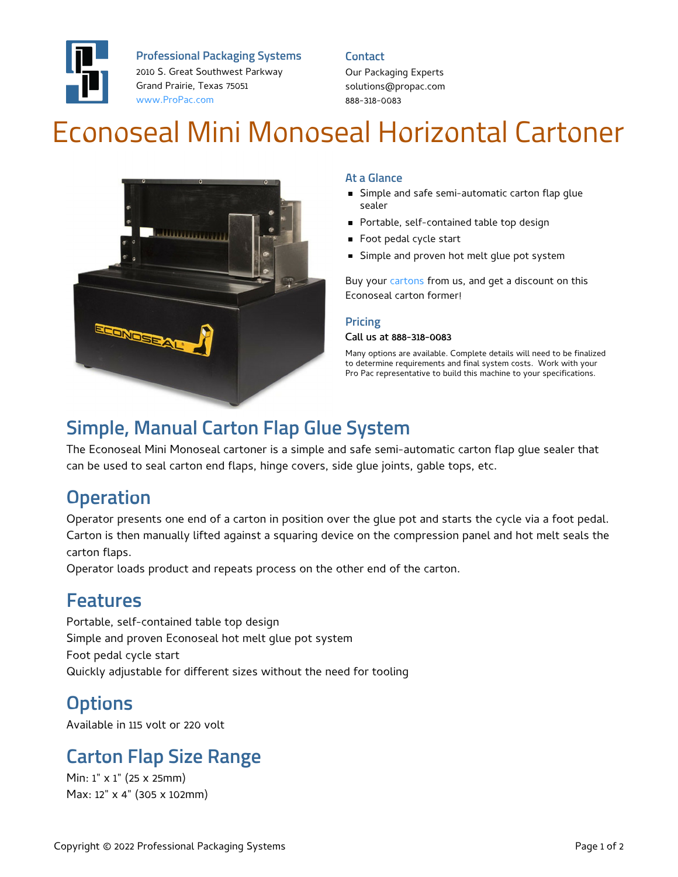

**Professional Packaging Systems**

2010 S. Great Southwest Parkway Grand Prairie, Texas 75051 [www.ProPac.com](https://www.propac.com/)

#### **Contact**

Our Packaging Experts solutions@propac.com 888-318-0083

# Econoseal Mini Monoseal Horizontal Cartoner



### **At a Glance**

- **Simple and safe semi-automatic carton flap glue** sealer
- Portable, self-contained table top design
- Foot pedal cycle start
- **Simple and proven hot melt glue pot system**

Buy your [cartons](file:///custom-materials/folding-carton/) from us, and get a discount on this Econoseal carton former!

### **Pricing**

#### Call us at 888-318-0083

Many options are available. Complete details will need to be finalized to determine requirements and final system costs. Work with your Pro Pac representative to build this machine to your specifications.

### **Simple, Manual Carton Flap Glue System**

The Econoseal Mini Monoseal cartoner is a simple and safe semi-automatic carton flap glue sealer that can be used to seal carton end flaps, hinge covers, side glue joints, gable tops, etc.

## **Operation**

Operator presents one end of a carton in position over the glue pot and starts the cycle via a foot pedal. Carton is then manually lifted against a squaring device on the compression panel and hot melt seals the carton flaps.

Operator loads product and repeats process on the other end of the carton.

### **Features**

Portable, self-contained table top design Simple and proven Econoseal hot melt glue pot system Foot pedal cycle start Quickly adjustable for different sizes without the need for tooling

# **Options**

Available in 115 volt or 220 volt

### **Carton Flap Size Range**

Min: 1" x 1" (25 x 25mm) Max: 12" x 4" (305 x 102mm)